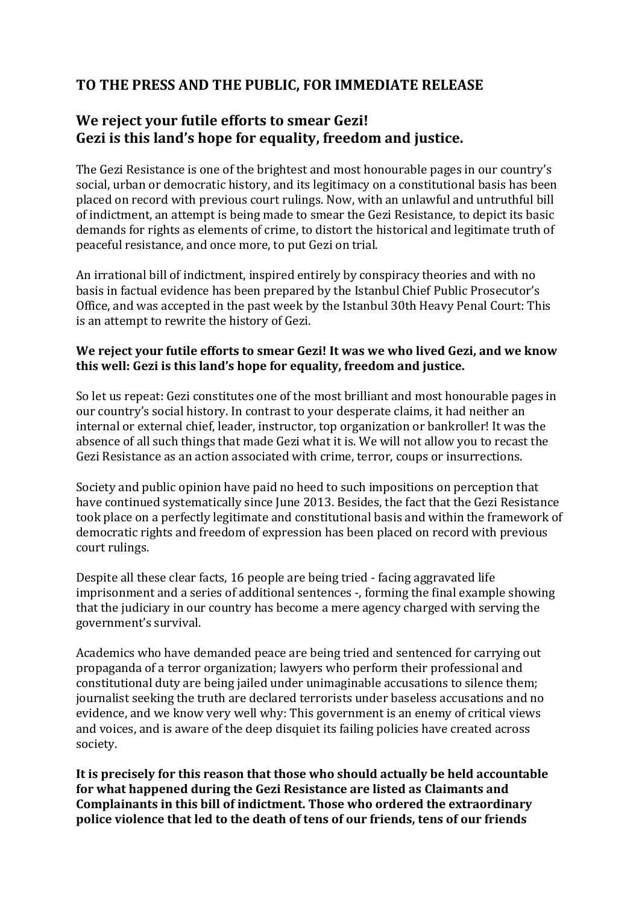## **TO THE PRESS AND THE PUBLIC, FOR IMMEDIATE RELEASE**

## **We reject your futile efforts to smear Gezi! Gezi is this land's hope for equality, freedom and justice.**

The Gezi Resistance is one of the brightest and most honourable pages in our country's social, urban or democratic history, and its legitimacy on a constitutional basis has been placed on record with previous court rulings. Now, with an unlawful and untruthful bill of indictment, an attempt is being made to smear the Gezi Resistance, to depict its basic demands for rights as elements of crime, to distort the historical and legitimate truth of peaceful resistance, and once more, to put Gezi on trial.

An irrational bill of indictment, inspired entirely by conspiracy theories and with no basis in factual evidence has been prepared by the Istanbul Chief Public Prosecutor's Office, and was accepted in the past week by the Istanbul 30th Heavy Penal Court: This is an attempt to rewrite the history of Gezi.

## **We reject your futile efforts to smear Gezi! It was we who lived Gezi, and we know this well: Gezi is this land's hope for equality, freedom and justice.**

So let us repeat: Gezi constitutes one of the most brilliant and most honourable pages in our country's social history. In contrast to your desperate claims, it had neither an internal or external chief, leader, instructor, top organization or bankroller! It was the absence of all such things that made Gezi what it is. We will not allow you to recast the Gezi Resistance as an action associated with crime, terror, coups or insurrections.

Society and public opinion have paid no heed to such impositions on perception that have continued systematically since June 2013. Besides, the fact that the Gezi Resistance took place on a perfectly legitimate and constitutional basis and within the framework of democratic rights and freedom of expression has been placed on record with previous court rulings.

Despite all these clear facts, 16 people are being tried - facing aggravated life imprisonment and a series of additional sentences -, forming the final example showing that the judiciary in our country has become a mere agency charged with serving the government's survival.

Academics who have demanded peace are being tried and sentenced for carrying out propaganda of a terror organization; lawyers who perform their professional and constitutional duty are being jailed under unimaginable accusations to silence them; journalist seeking the truth are declared terrorists under baseless accusations and no evidence, and we know very well why: This government is an enemy of critical views and voices, and is aware of the deep disquiet its failing policies have created across society.

**It is precisely for this reason that those who should actually be held accountable for what happened during the Gezi Resistance are listed as Claimants and Complainants in this bill of indictment. Those who ordered the extraordinary police violence that led to the death of tens of our friends, tens of our friends**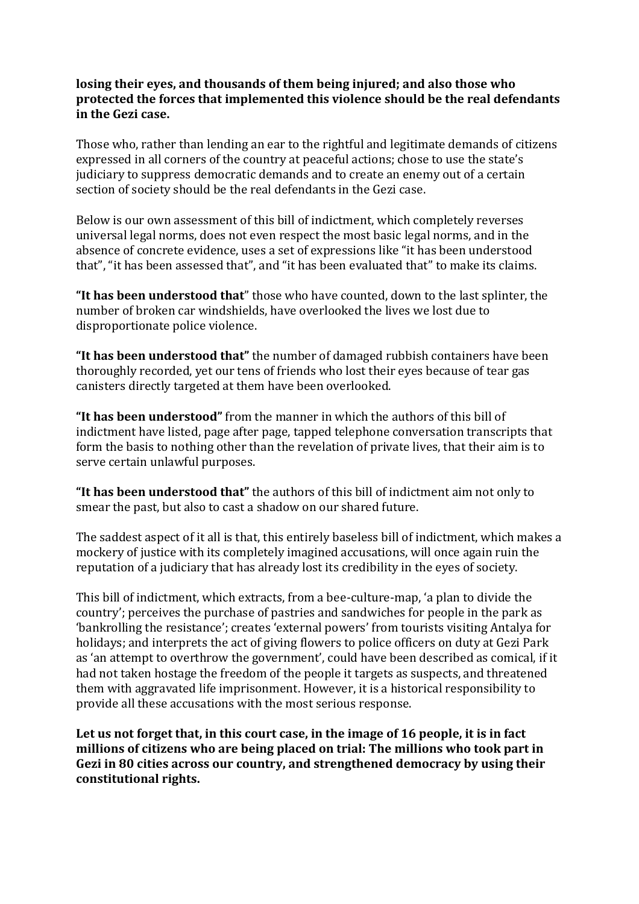## **losing their eyes, and thousands of them being injured; and also those who protected the forces that implemented this violence should be the real defendants in the Gezi case.**

Those who, rather than lending an ear to the rightful and legitimate demands of citizens expressed in all corners of the country at peaceful actions; chose to use the state's judiciary to suppress democratic demands and to create an enemy out of a certain section of society should be the real defendants in the Gezi case.

Below is our own assessment of this bill of indictment, which completely reverses universal legal norms, does not even respect the most basic legal norms, and in the absence of concrete evidence, uses a set of expressions like "it has been understood that", "it has been assessed that", and "it has been evaluated that" to make its claims.

**"It has been understood that**" those who have counted, down to the last splinter, the number of broken car windshields, have overlooked the lives we lost due to disproportionate police violence.

**"It has been understood that"** the number of damaged rubbish containers have been thoroughly recorded, yet our tens of friends who lost their eyes because of tear gas canisters directly targeted at them have been overlooked.

**"It has been understood"** from the manner in which the authors of this bill of indictment have listed, page after page, tapped telephone conversation transcripts that form the basis to nothing other than the revelation of private lives, that their aim is to serve certain unlawful purposes.

**"It has been understood that"** the authors of this bill of indictment aim not only to smear the past, but also to cast a shadow on our shared future.

The saddest aspect of it all is that, this entirely baseless bill of indictment, which makes a mockery of justice with its completely imagined accusations, will once again ruin the reputation of a judiciary that has already lost its credibility in the eyes of society.

This bill of indictment, which extracts, from a bee-culture-map, 'a plan to divide the country'; perceives the purchase of pastries and sandwiches for people in the park as 'bankrolling the resistance'; creates 'external powers' from tourists visiting Antalya for holidays; and interprets the act of giving flowers to police officers on duty at Gezi Park as 'an attempt to overthrow the government', could have been described as comical, if it had not taken hostage the freedom of the people it targets as suspects, and threatened them with aggravated life imprisonment. However, it is a historical responsibility to provide all these accusations with the most serious response.

**Let us not forget that, in this court case, in the image of 16 people, it is in fact millions of citizens who are being placed on trial: The millions who took part in Gezi in 80 cities across our country, and strengthened democracy by using their constitutional rights.**